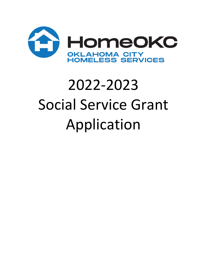

## 2022-2023 Social Service Grant Application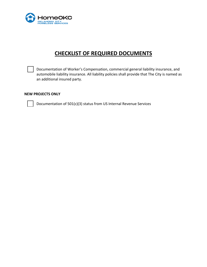

## **CHECKLIST OF REQUIRED DOCUMENTS**

Documentation of Worker's Compensation, commercial general liability insurance, and automobile liability insurance. All liability policies shall provide that The City is named as an additional insured party.

## **NEW PROJECTS ONLY**

Documentation of 501(c)(3) status from US Internal Revenue Services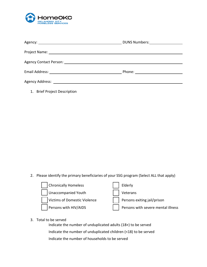

|                                                        | DUNS Numbers: 1997 |
|--------------------------------------------------------|--------------------|
|                                                        |                    |
|                                                        |                    |
| Agency Contact Person: National Agency Contact Person: |                    |
|                                                        |                    |
|                                                        |                    |
|                                                        |                    |

1. Brief Project Description

2. Please identify the primary beneficiaries of your SSG program (Select ALL that apply)



3. Total to be served

Indicate the number of unduplicated adults (18+) to be served Indicate the number of unduplicated children (<18) to be served Indicate the number of households to be served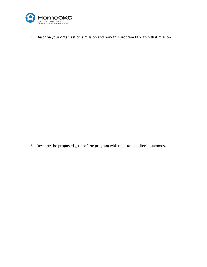

4. Describe your organization's mission and how this program fit within that mission.

5. Describe the proposed goals of the program with measurable client outcomes.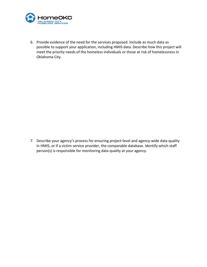

6. Provide evidence of the need for the services proposed. Include as much data as possible to support your application, including HMIS data. Describe how this project will meet the priority needs of the homeless individuals or those at risk of homelessness in Oklahoma City.

7. Describe your agency's process for ensuring project-level and agency-wide data quality in HMIS, or if a victim service provider, the comparable database. Identify which staff person(s) is responsible for monitoring data quality at your agency.